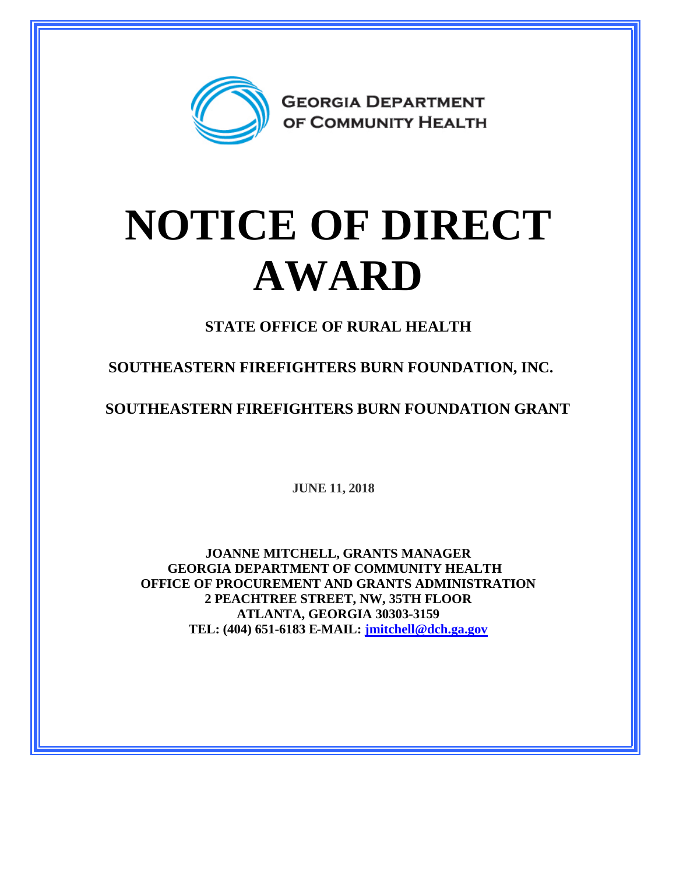

## **NOTICE OF DIRECT AWARD**

**STATE OFFICE OF RURAL HEALTH**

**SOUTHEASTERN FIREFIGHTERS BURN FOUNDATION, INC.**

**SOUTHEASTERN FIREFIGHTERS BURN FOUNDATION GRANT**

**JUNE 11, 2018**

**JOANNE MITCHELL, GRANTS MANAGER GEORGIA DEPARTMENT OF COMMUNITY HEALTH OFFICE OF PROCUREMENT AND GRANTS ADMINISTRATION 2 PEACHTREE STREET, NW, 35TH FLOOR ATLANTA, GEORGIA 30303-3159 TEL: (404) 651-6183 E-MAIL: [jmitchell@dch.ga.gov](mailto:jmitchell@dch.ga.gov)**